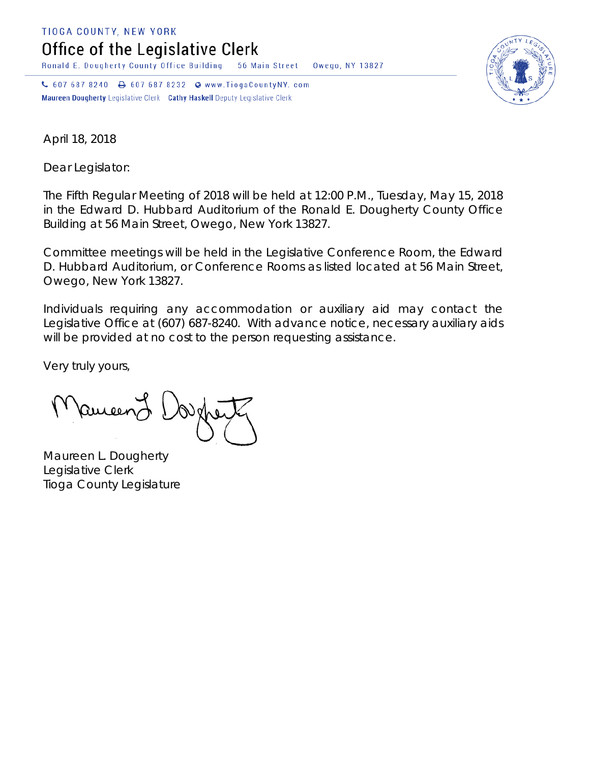TIOGA COUNTY, NEW YORK

Office of the Legislative Clerk

Ronald E. Dougherty County Office Building 56 Main Street Owego, NY 13827

↓ 607 687 8240 → 607 687 8232 → www.TiogaCountyNY.com Maureen Dougherty Legislative Clerk Cathy Haskell Deputy Legislative Clerk



April 18, 2018

Dear Legislator:

The Fifth Regular Meeting of 2018 will be held at 12:00 P.M., Tuesday, May 15, 2018 in the Edward D. Hubbard Auditorium of the Ronald E. Dougherty County Office Building at 56 Main Street, Owego, New York 13827.

Committee meetings will be held in the Legislative Conference Room, the Edward D. Hubbard Auditorium, or Conference Rooms as listed located at 56 Main Street, Owego, New York 13827.

Individuals requiring any accommodation or auxiliary aid may contact the Legislative Office at (607) 687-8240. With advance notice, necessary auxiliary aids will be provided at no cost to the person requesting assistance.

Very truly yours,

Remeend

Maureen L. Dougherty Legislative Clerk Tioga County Legislature